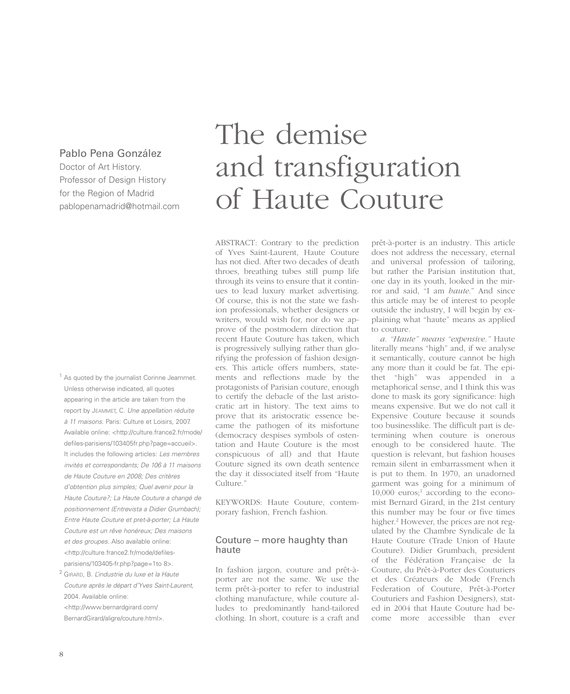## Pablo Pena González

Doctor of Art History. Professor of Design History for the Region of Madrid pablopenamadrid@hotmail.com

<sup>1</sup> As quoted by the journalist Corinne Jeammet. Unless otherwise indicated, all quotes appearing in the article are taken from the report by JEAMMET, C. Une appellation réduite à 11 maisons. Paris: Culture et Loisirs, 2007. Available online: <http://culture.france2.fr/mode/ defiles-parisiens/103405fr.php?page=accueil>. It includes the following articles: Les membres invités et correspondants; De 106 à 11 maisons de Haute Couture en 2008; Des critères d'obtention plus simples; Quel avenir pour la Haute Couture?; La Haute Couture a changé de positionnement (Entrevista a Didier Grumbach); Entre Haute Couture et pret-à-porter; La Haute Couture est un rêve honéreux; Des maisons et des groupes. Also available online: <http://culture.france2.fr/mode/defilesparisiens/103405-fr.php?page=1to 8>.

<sup>2</sup> GIRARD, B. L'industrie du luxe et la Haute Couture après le départ d'Yves Saint-Laurent, 2004. Available online: <http://www.bernardgirard.com/

BernardGirard/aligre/couture.html>.

## The demise and transfiguration of Haute Couture

ABSTRACT: Contrary to the prediction of Yves Saint-Laurent, Haute Couture has not died. After two decades of death throes, breathing tubes still pump life through its veins to ensure that it continues to lead luxury market advertising. Of course, this is not the state we fashion professionals, whether designers or writers, would wish for, nor do we approve of the postmodern direction that recent Haute Couture has taken, which is progressively sullying rather than glorifying the profession of fashion designers. This article offers numbers, statements and reflections made by the protagonists of Parisian couture, enough to certify the debacle of the last aristocratic art in history. The text aims to prove that its aristocratic essence became the pathogen of its misfortune (democracy despises symbols of ostentation and Haute Couture is the most conspicuous of all) and that Haute Couture signed its own death sentence the day it dissociated itself from "Haute Culture."

KEYWORDS: Haute Couture, contemporary fashion, French fashion.

#### Couture – more haughty than haute

In fashion jargon, couture and prêt-àporter are not the same. We use the term prêt-à-porter to refer to industrial clothing manufacture, while couture alludes to predominantly hand-tailored clothing. In short, couture is a craft and

prêt-à-porter is an industry. This article does not address the necessary, eternal and universal profession of tailoring, but rather the Parisian institution that, one day in its youth, looked in the mirror and said, "I am *haute*." And since this article may be of interest to people outside the industry, I will begin by explaining what "haute" means as applied to couture.

*a. "Haute" means "expensive."* Haute literally means "high" and, if we analyse it semantically, couture cannot be high any more than it could be fat. The epithet "high" was appended in a metaphorical sense, and I think this was done to mask its gory significance: high means expensive. But we do not call it Expensive Couture because it sounds too businesslike. The difficult part is determining when couture is onerous enough to be considered haute. The question is relevant, but fashion houses remain silent in embarrassment when it is put to them. In 1970, an unadorned garment was going for a minimum of  $10,000$  euros;<sup>1</sup> according to the economist Bernard Girard, in the 21st century this number may be four or five times higher.<sup>2</sup> However, the prices are not regulated by the Chambre Syndicale de la Haute Couture (Trade Union of Haute Couture). Didier Grumbach, president of the Fédération Française de la Couture, du Prêt-à-Porter des Couturiers et des Créateurs de Mode (French Federation of Couture, Prêt-à-Porter Couturiers and Fashion Designers), stated in 2004 that Haute Couture had become more accessible than ever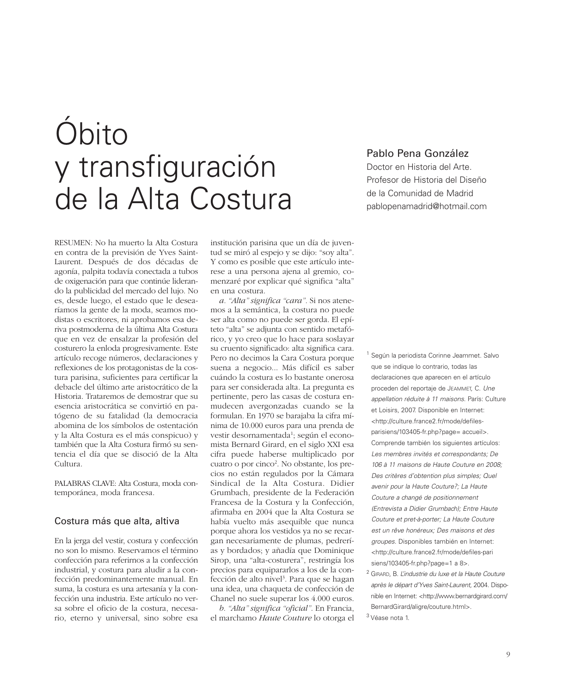# Óbito y transfiguración de la Alta Costura

RESUMEN: No ha muerto la Alta Costura en contra de la previsión de Yves Saint-Laurent. Después de dos décadas de agonía, palpita todavía conectada a tubos de oxigenación para que continúe liderando la publicidad del mercado del lujo. No es, desde luego, el estado que le desearíamos la gente de la moda, seamos modistas o escritores, ni aprobamos esa deriva postmoderna de la última Alta Costura que en vez de ensalzar la profesión del costurero la enloda progresivamente. Este artículo recoge números, declaraciones y reflexiones de los protagonistas de la costura parisina, suficientes para certificar la debacle del último arte aristocrático de la Historia. Trataremos de demostrar que su esencia aristocrática se convirtió en patógeno de su fatalidad (la democracia abomina de los símbolos de ostentación y la Alta Costura es el más conspicuo) y también que la Alta Costura firmó su sentencia el día que se disoció de la Alta Cultura.

PALABRAS CLAVE: Alta Costura, moda contemporánea, moda francesa.

#### Costura más que alta, altiva

En la jerga del vestir, costura y confección no son lo mismo. Reservamos el término confección para referirnos a la confección industrial, y costura para aludir a la confección predominantemente manual. En suma, la costura es una artesanía y la confección una industria. Este artículo no versa sobre el oficio de la costura, necesario, eterno y universal, sino sobre esa

institución parisina que un día de juventud se miró al espejo y se dijo: "soy alta". Y como es posible que este artículo interese a una persona ajena al gremio, comenzaré por explicar qué significa "alta" en una costura.

*a. "Alta" significa "cara".* Si nos atenemos a la semántica, la costura no puede ser alta como no puede ser gorda. El epíteto "alta" se adjunta con sentido metafórico, y yo creo que lo hace para soslayar su cruento significado: alta significa cara. Pero no decimos la Cara Costura porque suena a negocio... Más difícil es saber cuándo la costura es lo bastante onerosa para ser considerada alta. La pregunta es pertinente, pero las casas de costura enmudecen avergonzadas cuando se la formulan. En 1970 se barajaba la cifra mínima de 10.000 euros para una prenda de vestir desornamentada1 ; según el economista Bernard Girard, en el siglo XXI esa cifra puede haberse multiplicado por cuatro o por cinco<sup>2</sup>. No obstante, los precios no están regulados por la Cámara Sindical de la Alta Costura. Didier Grumbach, presidente de la Federación Francesa de la Costura y la Confección, afirmaba en 2004 que la Alta Costura se había vuelto más asequible que nunca porque ahora los vestidos ya no se recargan necesariamente de plumas, pedrerías y bordados; y añadía que Dominique Sirop, una "alta-costurera", restringía los precios para equipararlos a los de la confección de alto nivel<sup>3</sup>. Para que se hagan una idea, una chaqueta de confección de Chanel no suele superar los 4.000 euros.

*b. "Alta" significa "oficial"*. En Francia, el marchamo *Haute Couture* lo otorga el

## Pablo Pena González

Doctor en Historia del Arte. Profesor de Historia del Diseño de la Comunidad de Madrid pablopenamadrid@hotmail.com

<sup>1</sup> Según la periodista Corinne Jeammet. Salvo que se indique lo contrario, todas las declaraciones que aparecen en el artículo proceden del reportaje de JEAMMET, C. Une appellation réduite à 11 maisons. París: Culture et Loisirs, 2007. Disponible en Internet: <http://culture.france2.fr/mode/defilesparisiens/103405-fr.php?page= accueil>. Comprende también los siguientes artículos: Les membres invités et correspondants; De 106 à 11 maisons de Haute Couture en 2008; Des critères d'obtention plus simples; Quel avenir pour la Haute Couture?; La Haute Couture a changé de positionnement (Entrevista a Didier Grumbach); Entre Haute Couture et pret-à-porter; La Haute Couture est un rêve honéreux; Des maisons et des groupes. Disponibles también en Internet: <http://culture.france2.fr/mode/defiles-pari siens/103405-fr.php?page=1 a 8>.

<sup>2</sup> GIRARD, B. L'industrie du luxe et la Haute Couture après le départ d'Yves Saint-Laurent, 2004. Disponible en Internet: <http://www.bernardgirard.com/ BernardGirard/aligre/couture.html>.

<sup>3</sup> Véase nota 1.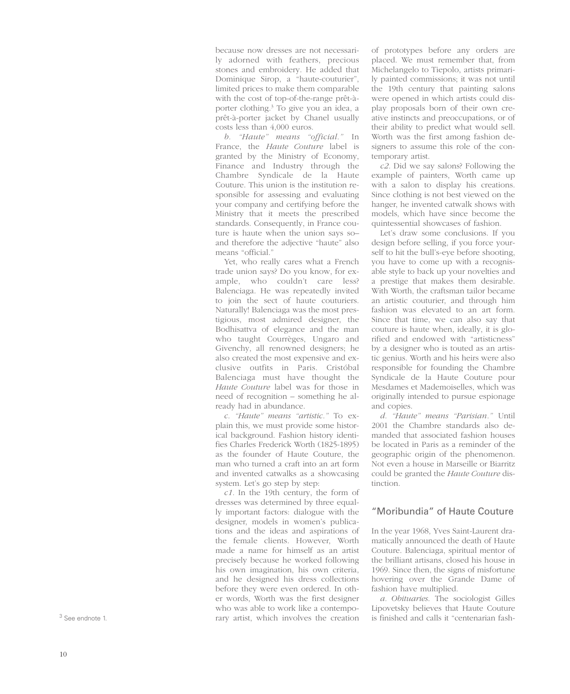because now dresses are not necessarily adorned with feathers, precious stones and embroidery. He added that Dominique Sirop, a "haute-couturier", limited prices to make them comparable with the cost of top-of-the-range prêt-àporter clothing.3 To give you an idea, a prêt-à-porter jacket by Chanel usually costs less than 4,000 euros.

*b. "Haute" means "official."* In France, the *Haute Couture* label is granted by the Ministry of Economy, Finance and Industry through the Chambre Syndicale de la Haute Couture. This union is the institution responsible for assessing and evaluating your company and certifying before the Ministry that it meets the prescribed standards. Consequently, in France couture is haute when the union says so– and therefore the adjective "haute" also means "official."

Yet, who really cares what a French trade union says? Do you know, for example, who couldn't care less? Balenciaga. He was repeatedly invited to join the sect of haute couturiers. Naturally! Balenciaga was the most prestigious, most admired designer, the Bodhisattva of elegance and the man who taught Courrèges, Ungaro and Givenchy, all renowned designers; he also created the most expensive and exclusive outfits in Paris. Cristóbal Balenciaga must have thought the *Haute Couture* label was for those in need of recognition – something he already had in abundance.

*c. "Haute" means "artistic."* To explain this, we must provide some historical background. Fashion history identifies Charles Frederick Worth (1825-1895) as the founder of Haute Couture, the man who turned a craft into an art form and invented catwalks as a showcasing system. Let's go step by step:

*c1.* In the 19th century, the form of dresses was determined by three equally important factors: dialogue with the designer, models in women's publications and the ideas and aspirations of the female clients. However, Worth made a name for himself as an artist precisely because he worked following his own imagination, his own criteria, and he designed his dress collections before they were even ordered. In other words, Worth was the first designer who was able to work like a contemporary artist, which involves the creation

of prototypes before any orders are placed. We must remember that, from Michelangelo to Tiepolo, artists primarily painted commissions; it was not until the 19th century that painting salons were opened in which artists could display proposals born of their own creative instincts and preoccupations, or of their ability to predict what would sell. Worth was the first among fashion designers to assume this role of the contemporary artist.

*c2.* Did we say salons? Following the example of painters, Worth came up with a salon to display his creations. Since clothing is not best viewed on the hanger, he invented catwalk shows with models, which have since become the quintessential showcases of fashion.

Let's draw some conclusions. If you design before selling, if you force yourself to hit the bull's-eye before shooting, you have to come up with a recognisable style to back up your novelties and a prestige that makes them desirable. With Worth, the craftsman tailor became an artistic couturier, and through him fashion was elevated to an art form. Since that time, we can also say that couture is haute when, ideally, it is glorified and endowed with "artisticness" by a designer who is touted as an artistic genius. Worth and his heirs were also responsible for founding the Chambre Syndicale de la Haute Couture pour Mesdames et Mademoiselles, which was originally intended to pursue espionage and copies.

*d. "Haute" means "Parisian."* Until 2001 the Chambre standards also demanded that associated fashion houses be located in Paris as a reminder of the geographic origin of the phenomenon. Not even a house in Marseille or Biarritz could be granted the *Haute Couture* distinction.

#### "Moribundia" of Haute Couture

In the year 1968, Yves Saint-Laurent dramatically announced the death of Haute Couture. Balenciaga, spiritual mentor of the brilliant artisans, closed his house in 1969. Since then, the signs of misfortune hovering over the Grande Dame of fashion have multiplied.

*a. Obituaries*. The sociologist Gilles Lipovetsky believes that Haute Couture is finished and calls it "centenarian fash-

 $3$  See endnote 1.<br>10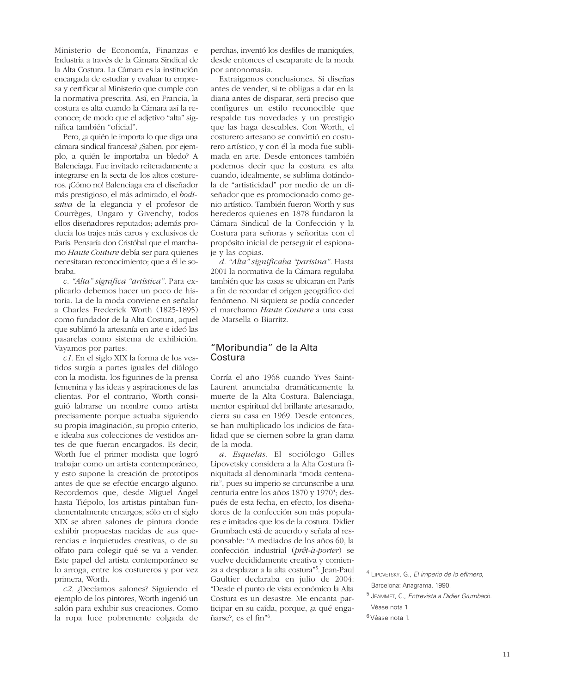Ministerio de Economía, Finanzas e Industria a través de la Cámara Sindical de la Alta Costura. La Cámara es la institución encargada de estudiar y evaluar tu empresa y certificar al Ministerio que cumple con la normativa prescrita. Así, en Francia, la costura es alta cuando la Cámara así la reconoce; de modo que el adjetivo "alta" significa también "oficial".

Pero, ¿a quién le importa lo que diga una cámara sindical francesa? ¿Saben, por ejemplo, a quién le importaba un bledo? A Balenciaga. Fue invitado reiteradamente a integrarse en la secta de los altos costureros. ¡Cómo no! Balenciaga era el diseñador más prestigioso, el más admirado, el *bodisatva* de la elegancia y el profesor de Courrèges, Ungaro y Givenchy, todos ellos diseñadores reputados; además producía los trajes más caros y exclusivos de París. Pensaría don Cristóbal que el marchamo *Haute Couture* debía ser para quienes necesitaran reconocimiento; que a él le sobraba.

*c. "Alta" significa "artística".* Para explicarlo debemos hacer un poco de historia. La de la moda conviene en señalar a Charles Frederick Worth (1825-1895) como fundador de la Alta Costura, aquel que sublimó la artesanía en arte e ideó las pasarelas como sistema de exhibición. Vayamos por partes:

*c1.* En el siglo XIX la forma de los vestidos surgía a partes iguales del diálogo con la modista, los figurines de la prensa femenina y las ideas y aspiraciones de las clientas. Por el contrario, Worth consiguió labrarse un nombre como artista precisamente porque actuaba siguiendo su propia imaginación, su propio criterio, e ideaba sus colecciones de vestidos antes de que fueran encargados. Es decir, Worth fue el primer modista que logró trabajar como un artista contemporáneo, y esto supone la creación de prototipos antes de que se efectúe encargo alguno. Recordemos que, desde Miguel Ángel hasta Tiépolo, los artistas pintaban fundamentalmente encargos; sólo en el siglo XIX se abren salones de pintura donde exhibir propuestas nacidas de sus querencias e inquietudes creativas, o de su olfato para colegir qué se va a vender. Este papel del artista contemporáneo se lo arroga, entre los costureros y por vez primera, Worth.

*c2.* ¿Decíamos salones? Siguiendo el ejemplo de los pintores, Worth ingenió un salón para exhibir sus creaciones. Como la ropa luce pobremente colgada de

perchas, inventó los desfiles de maniquíes, desde entonces el escaparate de la moda por antonomasia.

Extraigamos conclusiones. Si diseñas antes de vender, si te obligas a dar en la diana antes de disparar, será preciso que configures un estilo reconocible que respalde tus novedades y un prestigio que las haga deseables. Con Worth, el costurero artesano se convirtió en costurero artístico, y con él la moda fue sublimada en arte. Desde entonces también podemos decir que la costura es alta cuando, idealmente, se sublima dotándola de "artisticidad" por medio de un diseñador que es promocionado como genio artístico. También fueron Worth y sus herederos quienes en 1878 fundaron la Cámara Sindical de la Confección y la Costura para señoras y señoritas con el propósito inicial de perseguir el espionaje y las copias.

*d. "Alta" significaba "parisina".* Hasta 2001 la normativa de la Cámara regulaba también que las casas se ubicaran en París a fin de recordar el origen geográfico del fenómeno. Ni siquiera se podía conceder el marchamo *Haute Couture* a una casa de Marsella o Biarritz.

#### "Moribundia" de la Alta Costura

Corría el año 1968 cuando Yves Saint-Laurent anunciaba dramáticamente la muerte de la Alta Costura. Balenciaga, mentor espiritual del brillante artesanado, cierra su casa en 1969. Desde entonces, se han multiplicado los indicios de fatalidad que se ciernen sobre la gran dama de la moda.

*a. Esquelas.* El sociólogo Gilles Lipovetsky considera a la Alta Costura finiquitada al denominarla "moda centenaria", pues su imperio se circunscribe a una centuria entre los años 1870 y 1970<sup>4</sup>; después de esta fecha, en efecto, los diseñadores de la confección son más populares e imitados que los de la costura. Didier Grumbach está de acuerdo y señala al responsable: "A mediados de los años 60, la confección industrial (*prêt-à-porter*) se vuelve decididamente creativa y comienza a desplazar a la alta costura"5 . Jean-Paul Gaultier declaraba en julio de 2004: "Desde el punto de vista económico la Alta Costura es un desastre. Me encanta participar en su caída, porque, ¿a qué engañarse?, es el fin"6 *.*

<sup>4</sup> LIPOVETSKY, G., El imperio de lo efímero, Barcelona: Anagrama, 1990.

<sup>5</sup> JEAMMET, C., Entrevista a Didier Grumbach.

Véase nota 1.

<sup>6</sup> Véase nota 1.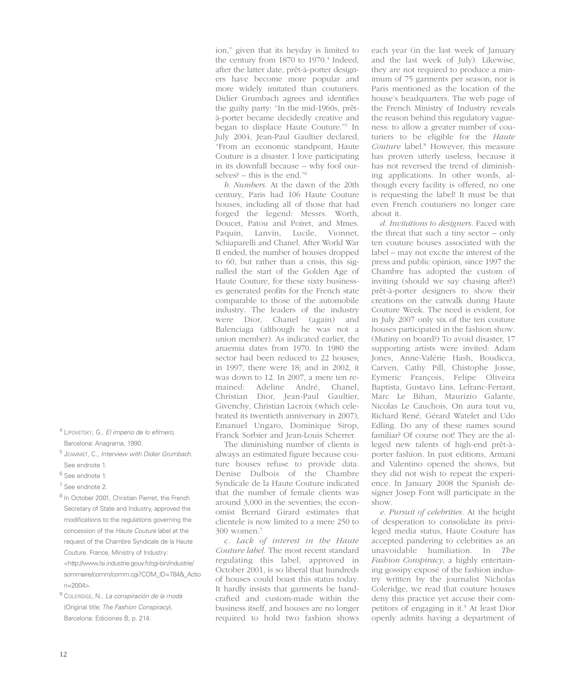- <sup>4</sup> LIPOVETSKY, G., El imperio de lo efímero, Barcelona: Anagrama, 1990.
- <sup>5</sup> JEAMMET, C., Interview with Didier Grumbach. See endnote 1.
- <sup>6</sup> See endnote 1.
- <sup>7</sup> See endnote 2.
- <sup>8</sup> In October 2001, Christian Pierret, the French Secretary of State and Industry, approved the modifications to the regulations governing the concession of the Haute Couture label at the request of the Chambre Syndicale de la Haute Couture. France, Ministry of Industry: <http://www.Isi.industrie.gouv.fr/cgi-bin/industrie/ sommaire/comm/comm.cgi?COM\_ID=784&\_Actio n=2004>.
- <sup>9</sup> COLERIDGE, N., La conspiración de la moda (Original title: The Fashion Conspiracy), Barcelona: Ediciones B, p. 214.

ion," given that its heyday is limited to the century from 1870 to 1970.<sup>4</sup> Indeed, after the latter date, prêt-à-porter designers have become more popular and more widely imitated than couturiers. Didier Grumbach agrees and identifies the guilty party: "In the mid-1960s, prêtà-porter became decidedly creative and began to displace Haute Couture."5 In July 2004, Jean-Paul Gaultier declared, "From an economic standpoint, Haute Couture is a disaster. I love participating in its downfall because – why fool ourselves? – this is the end."6

*b. Numbers*. At the dawn of the 20th century, Paris had 106 Haute Couture houses, including all of those that had forged the legend: Messrs. Worth, Doucet, Patou and Poiret, and Mmes. Paquín, Lanvín, Lucile, Vionnet, Schiaparelli and Chanel. After World War II ended, the number of houses dropped to 60, but rather than a crisis, this signalled the start of the Golden Age of Haute Couture, for these sixty businesses generated profits for the French state comparable to those of the automobile industry. The leaders of the industry were Dior, Chanel (again) and Balenciaga (although he was not a union member). As indicated earlier, the anaemia dates from 1970. In 1980 the sector had been reduced to 22 houses; in 1997, there were 18; and in 2002, it was down to 12. In 2007, a mere ten remained: Adeline André, Chanel, Christian Dior, Jean-Paul Gaultier, Givenchy, Christian Lacroix (which celebrated its twentieth anniversary in 2007), Emanuel Ungaro, Dominique Sirop, Franck Sorbier and Jean-Louis Scherrer.

The diminishing number of clients is always an estimated figure because couture houses refuse to provide data. Denise Dulbois of the Chambre Syndicale de la Haute Couture indicated that the number of female clients was around 3,000 in the seventies; the economist Bernard Girard estimates that clientele is now limited to a mere 250 to 300 women.7

*c. Lack of interest in the Haute Couture label.* The most recent standard regulating this label, approved in October 2001, is so liberal that hundreds of houses could boast this status today. It hardly insists that garments be handcrafted and custom-made within the business itself, and houses are no longer required to hold two fashion shows each year (in the last week of January and the last week of July). Likewise, they are not required to produce a minimum of 75 garments per season, nor is Paris mentioned as the location of the house's headquarters. The web page of the French Ministry of Industry reveals the reason behind this regulatory vagueness: to allow a greater number of couturiers to be eligible for the *Haute Couture* label.8 However, this measure has proven utterly useless, because it has not reversed the trend of diminishing applications. In other words, although every facility is offered, no one is requesting the label! It must be that even French couturiers no longer care about it.

*d. Invitations to designers*. Faced with the threat that such a tiny sector – only ten couture houses associated with the label – may not excite the interest of the press and public opinion, since 1997 the Chambre has adopted the custom of inviting (should we say chasing after?) prêt-à-porter designers to show their creations on the catwalk during Haute Couture Week. The need is evident, for in July 2007 only six of the ten couture houses participated in the fashion show. (Mutiny on board?) To avoid disaster, 17 supporting artists were invited: Adam Jones, Anne-Valérie Hash, Boudicca, Carven, Cathy Pill, Chistophe Josse, Eymeric François, Felipe Oliveira Baptista, Gustavo Lins, Lefranc-Ferrant, Marc Le Bihan, Maurizio Galante, Nicolas Le Cauchois, On aura tout vu, Richard René, Gérard Watelet and Udo Edling. Do any of these names sound familiar? Of course not! They are the alleged new talents of high-end prêt-àporter fashion. In past editions, Armani and Valentino opened the shows, but they did not wish to repeat the experience. In January 2008 the Spanish designer Josep Font will participate in the show.

*e. Pursuit of celebrities*. At the height of desperation to consolidate its privileged media status, Haute Couture has accepted pandering to celebrities as an unavoidable humiliation. In *The Fashion Conspiracy*, a highly entertaining gossipy exposé of the fashion industry written by the journalist Nicholas Coleridge, we read that couture houses deny this practice yet accuse their competitors of engaging in it.9 At least Dior openly admits having a department of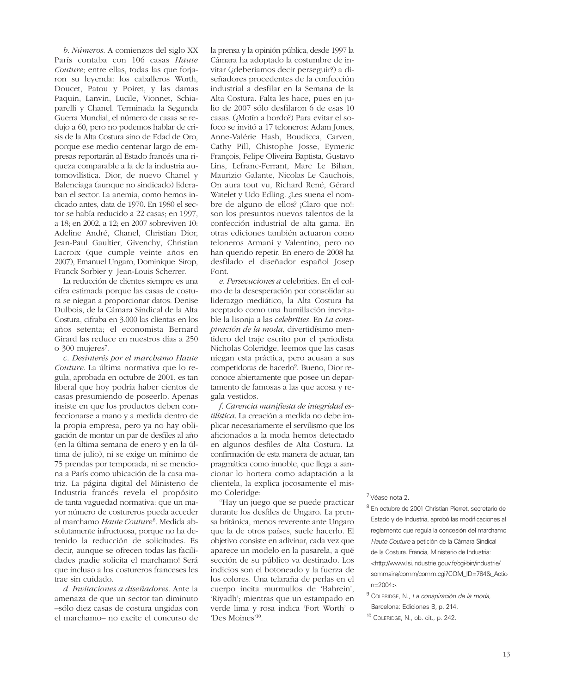*b. Números*. A comienzos del siglo XX París contaba con 106 casas *Haute Couture*; entre ellas, todas las que forjaron su leyenda: los caballeros Worth, Doucet, Patou y Poiret, y las damas Paquin, Lanvin, Lucile, Vionnet, Schiaparelli y Chanel. Terminada la Segunda Guerra Mundial, el número de casas se redujo a 60, pero no podemos hablar de crisis de la Alta Costura sino de Edad de Oro, porque ese medio centenar largo de empresas reportarán al Estado francés una riqueza comparable a la de la industria automovilística. Dior, de nuevo Chanel y Balenciaga (aunque no sindicado) lideraban el sector. La anemia, como hemos indicado antes, data de 1970. En 1980 el sector se había reducido a 22 casas; en 1997, a 18; en 2002, a 12; en 2007 sobreviven 10: Adeline André, Chanel, Christian Dior, Jean-Paul Gaultier, Givenchy, Christian Lacroix (que cumple veinte años en 2007), Emanuel Ungaro, Dominique Sirop, Franck Sorbier y Jean-Louis Scherrer.

La reducción de clientes siempre es una cifra estimada porque las casas de costura se niegan a proporcionar datos. Denise Dulbois, de la Cámara Sindical de la Alta Costura, cifraba en 3.000 las clientas en los años setenta; el economista Bernard Girard las reduce en nuestros días a 250 o 300 mujeres<sup>7</sup>.

*c. Desinterés por el marchamo Haute Couture*. La última normativa que lo regula, aprobada en octubre de 2001, es tan liberal que hoy podría haber cientos de casas presumiendo de poseerlo. Apenas insiste en que los productos deben confeccionarse a mano y a medida dentro de la propia empresa, pero ya no hay obligación de montar un par de desfiles al año (en la última semana de enero y en la última de julio), ni se exige un mínimo de 75 prendas por temporada, ni se menciona a París como ubicación de la casa matriz. La página digital del Ministerio de Industria francés revela el propósito de tanta vaguedad normativa: que un mayor número de costureros pueda acceder al marchamo *Haute Couture* <sup>8</sup> *.* Medida absolutamente infructuosa, porque no ha detenido la reducción de solicitudes. Es decir, aunque se ofrecen todas las facilidades ¡nadie solicita el marchamo! Será que incluso a los costureros franceses les trae sin cuidado.

*d. Invitaciones a diseñadores*. Ante la amenaza de que un sector tan diminuto –sólo diez casas de costura ungidas con el marchamo– no excite el concurso de

la prensa y la opinión pública, desde 1997 la Cámara ha adoptado la costumbre de invitar (¿deberíamos decir perseguir?) a diseñadores procedentes de la confección industrial a desfilar en la Semana de la Alta Costura. Falta les hace, pues en julio de 2007 sólo desfilaron 6 de esas 10 casas. (¿Motín a bordo?) Para evitar el sofoco se invitó a 17 teloneros: Adam Jones, Anne-Valérie Hash, Boudicca, Carven, Cathy Pill, Chistophe Josse, Eymeric François, Felipe Oliveira Baptista, Gustavo Lins, Lefranc-Ferrant, Marc Le Bihan, Maurizio Galante, Nicolas Le Cauchois, On aura tout vu, Richard René, Gérard Watelet y Udo Edling. ¿Les suena el nombre de alguno de ellos? ¡Claro que no!: son los presuntos nuevos talentos de la confección industrial de alta gama. En otras ediciones también actuaron como teloneros Armani y Valentino, pero no han querido repetir. En enero de 2008 ha desfilado el diseñador español Josep Font.

*e. Persecuciones a* celebrities. En el colmo de la desesperación por consolidar su liderazgo mediático, la Alta Costura ha aceptado como una humillación inevitable la lisonja a las *celebrities*. En *La conspiración de la moda*, divertidísimo mentidero del traje escrito por el periodista Nicholas Coleridge, leemos que las casas niegan esta práctica, pero acusan a sus competidoras de hacerlo<sup>9</sup>. Bueno, Dior reconoce abiertamente que posee un departamento de famosas a las que acosa y regala vestidos.

*f. Carencia manifiesta de integridad estilística*. La creación a medida no debe implicar necesariamente el servilismo que los aficionados a la moda hemos detectado en algunos desfiles de Alta Costura. La confirmación de esta manera de actuar, tan pragmática como innoble, que llega a sancionar lo hortera como adaptación a la clientela, la explica jocosamente el mismo Coleridge:

"Hay un juego que se puede practicar durante los desfiles de Ungaro. La prensa británica, menos reverente ante Ungaro que la de otros países, suele hacerlo. El objetivo consiste en adivinar, cada vez que aparece un modelo en la pasarela, a qué sección de su público va destinado. Los indicios son el botoneado y la fuerza de los colores. Una telaraña de perlas en el cuerpo incita murmullos de 'Bahrein', 'Riyadh'; mientras que un estampado en verde lima y rosa indica 'Fort Worth' o 'Des Moines'10.

#### <sup>7</sup> Véase nota 2.

- <sup>8</sup> En octubre de 2001 Christian Pierret, secretario de Estado y de Industria, aprobó las modificaciones al reglamento que regula la concesión del marchamo Haute Couture a petición de la Cámara Sindical de la Costura. Francia, Ministerio de Industria: <http://www.Isi.industrie.gouv.fr/cgi-bin/industrie/ sommaire/comm/comm.cgi?COM\_ID=784&\_Actio n=2004>.
- <sup>9</sup> COLERIDGE, N., La conspiración de la moda,

Barcelona: Ediciones B, p. 214.

<sup>10</sup> COLERIDGE, N., ob. cit., p. 242.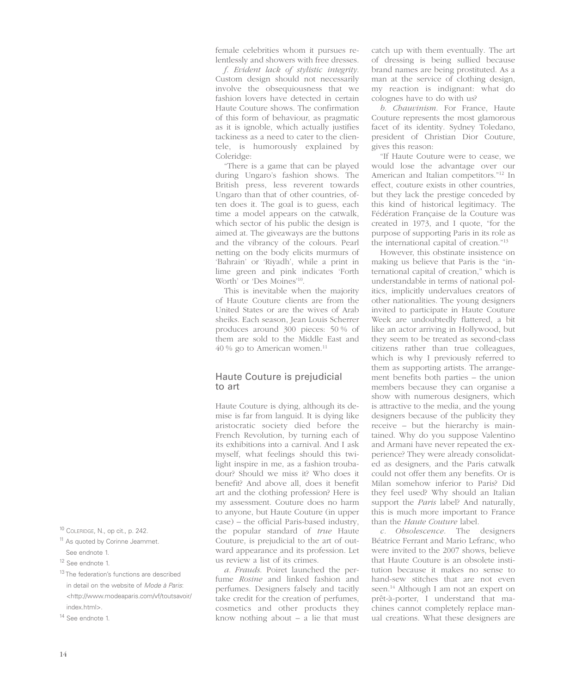female celebrities whom it pursues relentlessly and showers with free dresses.

*f. Evident lack of stylistic integrity*. Custom design should not necessarily involve the obsequiousness that we fashion lovers have detected in certain Haute Couture shows. The confirmation of this form of behaviour, as pragmatic as it is ignoble, which actually justifies tackiness as a need to cater to the clientele, is humorously explained by Coleridge:

"There is a game that can be played during Ungaro's fashion shows. The British press, less reverent towards Ungaro than that of other countries, often does it. The goal is to guess, each time a model appears on the catwalk, which sector of his public the design is aimed at. The giveaways are the buttons and the vibrancy of the colours. Pearl netting on the body elicits murmurs of 'Bahrain' or 'Riyadh', while a print in lime green and pink indicates 'Forth Worth' or 'Des Moines'10.

This is inevitable when the majority of Haute Couture clients are from the United States or are the wives of Arab sheiks. Each season, Jean Louis Scherrer produces around 300 pieces: 50 % of them are sold to the Middle East and 40 % go to American women.11

#### Haute Couture is prejudicial to art

Haute Couture is dying, although its demise is far from languid. It is dying like aristocratic society died before the French Revolution, by turning each of its exhibitions into a carnival. And I ask myself, what feelings should this twilight inspire in me, as a fashion troubadour? Should we miss it? Who does it benefit? And above all, does it benefit art and the clothing profession? Here is my assessment. Couture does no harm to anyone, but Haute Couture (in upper case) – the official Paris-based industry, the popular standard of *true* Haute Couture, is prejudicial to the art of outward appearance and its profession. Let us review a list of its crimes.

*a. Frauds*. Poiret launched the perfume *Rosine* and linked fashion and perfumes. Designers falsely and tacitly take credit for the creation of perfumes, cosmetics and other products they know nothing about – a lie that must

catch up with them eventually. The art of dressing is being sullied because brand names are being prostituted. As a man at the service of clothing design, my reaction is indignant: what do colognes have to do with us?

*b*. *Chauvinism*. For France, Haute Couture represents the most glamorous facet of its identity. Sydney Toledano, president of Christian Dior Couture, gives this reason:

"If Haute Couture were to cease, we would lose the advantage over our American and Italian competitors."12 In effect, couture exists in other countries, but they lack the prestige conceded by this kind of historical legitimacy. The Fédération Française de la Couture was created in 1973, and I quote, "for the purpose of supporting Paris in its role as the international capital of creation."13

However, this obstinate insistence on making us believe that Paris is the "international capital of creation," which is understandable in terms of national politics, implicitly undervalues creators of other nationalities. The young designers invited to participate in Haute Couture Week are undoubtedly flattered, a bit like an actor arriving in Hollywood, but they seem to be treated as second-class citizens rather than true colleagues, which is why I previously referred to them as supporting artists. The arrangement benefits both parties – the union members because they can organise a show with numerous designers, which is attractive to the media, and the young designers because of the publicity they receive – but the hierarchy is maintained. Why do you suppose Valentino and Armani have never repeated the experience? They were already consolidated as designers, and the Paris catwalk could not offer them any benefits. Or is Milan somehow inferior to Paris? Did they feel used? Why should an Italian support the *Paris* label? And naturally, this is much more important to France than the *Haute Couture* label.

*c. Obsolescence*. The designers Béatrice Ferrant and Mario Lefranc, who were invited to the 2007 shows, believe that Haute Couture is an obsolete institution because it makes no sense to hand-sew stitches that are not even seen.<sup>14</sup> Although I am not an expert on prêt-à-porter, I understand that machines cannot completely replace manual creations. What these designers are

- <sup>10</sup> COLERIDGE, N., op cit., p. 242.
- <sup>11</sup> As quoted by Corinne Jeammet.

<sup>13</sup> The federation's functions are described in detail on the website of Mode à Paris: <http://www.modeaparis.com/vf/toutsavoir/ index.html>.

See endnote 1.

<sup>12</sup> See endnote 1.

<sup>&</sup>lt;sup>14</sup> See endnote 1.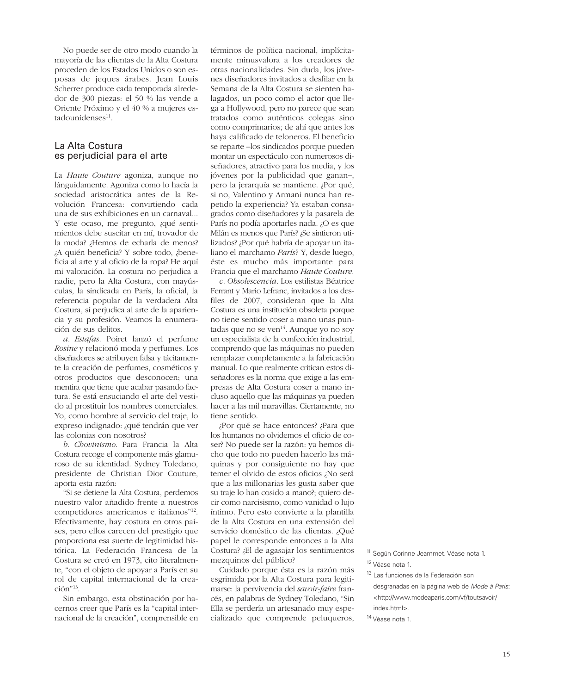No puede ser de otro modo cuando la mayoría de las clientas de la Alta Costura proceden de los Estados Unidos o son esposas de jeques árabes. Jean Louis Scherrer produce cada temporada alrededor de 300 piezas: el 50 % las vende a Oriente Próximo y el 40 % a mujeres estadounidenses<sup>11</sup>.

#### La Alta Costura es perjudicial para el arte

La *Haute Couture* agoniza, aunque no lánguidamente. Agoniza como lo hacía la sociedad aristocrática antes de la Revolución Francesa: convirtiendo cada una de sus exhibiciones en un carnaval... Y este ocaso, me pregunto, ¿qué sentimientos debe suscitar en mí, trovador de la moda? ¿Hemos de echarla de menos? ¿A quién beneficia? Y sobre todo, ¿beneficia al arte y al oficio de la ropa? He aquí mi valoración. La costura no perjudica a nadie, pero la Alta Costura, con mayúsculas, la sindicada en París, la oficial, la referencia popular de la verdadera Alta Costura, sí perjudica al arte de la apariencia y su profesión. Veamos la enumeración de sus delitos.

*a. Estafas*. Poiret lanzó el perfume *Rosine* y relacionó moda y perfumes. Los diseñadores se atribuyen falsa y tácitamente la creación de perfumes, cosméticos y otros productos que desconocen; una mentira que tiene que acabar pasando factura. Se está ensuciando el arte del vestido al prostituir los nombres comerciales. Yo, como hombre al servicio del traje, lo expreso indignado: ¿qué tendrán que ver las colonias con nosotros?

*b. Chovinismo*. Para Francia la Alta Costura recoge el componente más glamuroso de su identidad. Sydney Toledano, presidente de Christian Dior Couture, aporta esta razón:

"Si se detiene la Alta Costura, perdemos nuestro valor añadido frente a nuestros competidores americanos e italianos"12. Efectivamente, hay costura en otros países, pero ellos carecen del prestigio que proporciona esa suerte de legitimidad histórica. La Federación Francesa de la Costura se creó en 1973, cito literalmente, "con el objeto de apoyar a París en su rol de capital internacional de la creación"13.

Sin embargo, esta obstinación por hacernos creer que París es la "capital internacional de la creación", comprensible en términos de política nacional, implícitamente minusvalora a los creadores de otras nacionalidades. Sin duda, los jóvenes diseñadores invitados a desfilar en la Semana de la Alta Costura se sienten halagados, un poco como el actor que llega a Hollywood, pero no parece que sean tratados como auténticos colegas sino como comprimarios; de ahí que antes los haya calificado de teloneros. El beneficio se reparte –los sindicados porque pueden montar un espectáculo con numerosos diseñadores, atractivo para los media, y los jóvenes por la publicidad que ganan–, pero la jerarquía se mantiene. ¿Por qué, si no, Valentino y Armani nunca han repetido la experiencia? Ya estaban consagrados como diseñadores y la pasarela de París no podía aportarles nada. ¿O es que Milán es menos que París? ¿Se sintieron utilizados? ¿Por qué habría de apoyar un italiano el marchamo *París*? Y, desde luego, éste es mucho más importante para Francia que el marchamo *Haute Couture.* 

*c. Obsolescencia*. Los estilistas Béatrice Ferrant y Mario Lefranc, invitados a los desfiles de 2007, consideran que la Alta Costura es una institución obsoleta porque no tiene sentido coser a mano unas puntadas que no se ven $14$ . Aunque yo no soy un especialista de la confección industrial, comprendo que las máquinas no pueden remplazar completamente a la fabricación manual. Lo que realmente critican estos diseñadores es la norma que exige a las empresas de Alta Costura coser a mano incluso aquello que las máquinas ya pueden hacer a las mil maravillas. Ciertamente, no tiene sentido.

¿Por qué se hace entonces? ¿Para que los humanos no olvidemos el oficio de coser? No puede ser la razón: ya hemos dicho que todo no pueden hacerlo las máquinas y por consiguiente no hay que temer el olvido de estos oficios ¿No será que a las millonarias les gusta saber que su traje lo han cosido a mano?; quiero decir como narcisismo, como vanidad o lujo íntimo. Pero esto convierte a la plantilla de la Alta Costura en una extensión del servicio doméstico de las clientas. ¿Qué papel le corresponde entonces a la Alta Costura? ¿El de agasajar los sentimientos mezquinos del público?

Cuidado porque ésta es la razón más esgrimida por la Alta Costura para legitimarse: la pervivencia del *savoir-faire* francés, en palabras de Sydney Toledano, "Sin Ella se perdería un artesanado muy especializado que comprende peluqueros, <sup>11</sup> Según Corinne Jeammet. Véase nota 1. <sup>12</sup> Véase nota 1.

<sup>13</sup> Las funciones de la Federación son desgranadas en la página web de Mode à Paris: <http://www.modeaparis.com/vf/toutsavoir/ index.html>.

<sup>14</sup> Véase nota 1.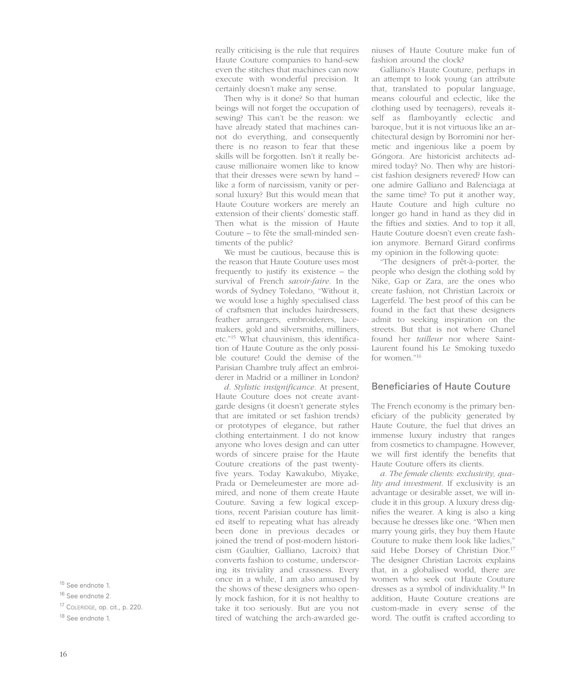really criticising is the rule that requires Haute Couture companies to hand-sew even the stitches that machines can now execute with wonderful precision. It certainly doesn't make any sense.

Then why is it done? So that human beings will not forget the occupation of sewing? This can't be the reason: we have already stated that machines cannot do everything, and consequently there is no reason to fear that these skills will be forgotten. Isn't it really because millionaire women like to know that their dresses were sewn by hand – like a form of narcissism, vanity or personal luxury? But this would mean that Haute Couture workers are merely an extension of their clients' domestic staff. Then what is the mission of Haute Couture – to fête the small-minded sentiments of the public?

We must be cautious, because this is the reason that Haute Couture uses most frequently to justify its existence – the survival of French *savoir-faire*. In the words of Sydney Toledano, "Without it, we would lose a highly specialised class of craftsmen that includes hairdressers, feather arrangers, embroiderers, lacemakers, gold and silversmiths, milliners, etc."15 What chauvinism, this identification of Haute Couture as the only possible couture! Could the demise of the Parisian Chambre truly affect an embroiderer in Madrid or a milliner in London?

*d. Stylistic insignificance*. At present, Haute Couture does not create avantgarde designs (it doesn't generate styles that are imitated or set fashion trends) or prototypes of elegance, but rather clothing entertainment. I do not know anyone who loves design and can utter words of sincere praise for the Haute Couture creations of the past twentyfive years. Today Kawakubo, Miyake, Prada or Demeleumester are more admired, and none of them create Haute Couture. Saving a few logical exceptions, recent Parisian couture has limited itself to repeating what has already been done in previous decades or joined the trend of post-modern historicism (Gaultier, Galliano, Lacroix) that converts fashion to costume, underscoring its triviality and crassness. Every once in a while, I am also amused by the shows of these designers who openly mock fashion, for it is not healthy to take it too seriously. But are you not tired of watching the arch-awarded ge-

niuses of Haute Couture make fun of fashion around the clock?

Galliano's Haute Couture, perhaps in an attempt to look young (an attribute that, translated to popular language, means colourful and eclectic, like the clothing used by teenagers), reveals itself as flamboyantly eclectic and baroque, but it is not virtuous like an architectural design by Borromini nor hermetic and ingenious like a poem by Góngora. Are historicist architects admired today? No. Then why are historicist fashion designers revered? How can one admire Galliano and Balenciaga at the same time? To put it another way, Haute Couture and high culture no longer go hand in hand as they did in the fifties and sixties. And to top it all, Haute Couture doesn't even create fashion anymore. Bernard Girard confirms my opinion in the following quote:

"The designers of prêt-à-porter, the people who design the clothing sold by Nike, Gap or Zara, are the ones who create fashion, not Christian Lacroix or Lagerfeld. The best proof of this can be found in the fact that these designers admit to seeking inspiration on the streets. But that is not where Chanel found her *tailleur* nor where Saint-Laurent found his Le Smoking tuxedo for women."16

#### Beneficiaries of Haute Couture

The French economy is the primary beneficiary of the publicity generated by Haute Couture, the fuel that drives an immense luxury industry that ranges from cosmetics to champagne. However, we will first identify the benefits that Haute Couture offers its clients.

*a. The female clients: exclusivity, quality and investment*. If exclusivity is an advantage or desirable asset, we will include it in this group. A luxury dress dignifies the wearer. A king is also a king because he dresses like one. "When men marry young girls, they buy them Haute Couture to make them look like ladies," said Hebe Dorsey of Christian Dior.<sup>17</sup> The designer Christian Lacroix explains that, in a globalised world, there are women who seek out Haute Couture dresses as a symbol of individuality.18 In addition, Haute Couture creations are custom-made in every sense of the word. The outfit is crafted according to

<sup>&</sup>lt;sup>15</sup> See endnote 1.

<sup>16</sup> See endnote 2.

<sup>17</sup> COLERIDGE, op. cit., p. 220.

<sup>&</sup>lt;sup>18</sup> See endnote 1.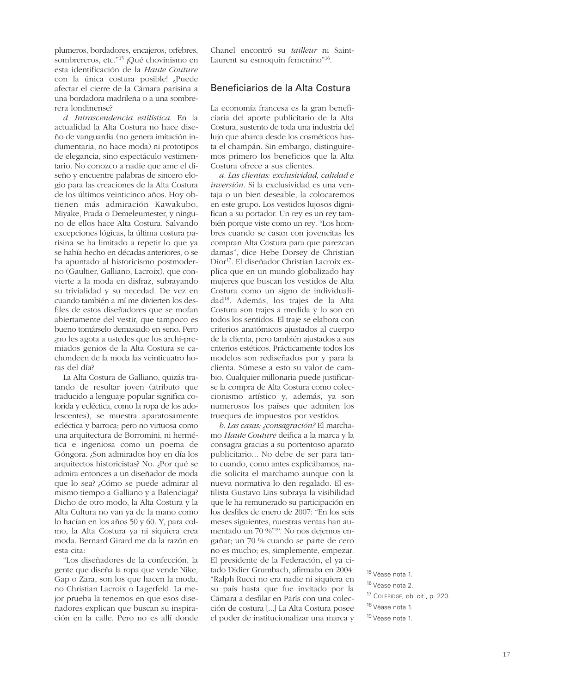plumeros, bordadores, encajeros, orfebres, sombrereros, etc."<sup>15</sup> ¡Qué chovinismo en esta identificación de la *Haute Couture* con la única costura posible! ¿Puede afectar el cierre de la Cámara parisina a una bordadora madrileña o a una sombrerera londinense?

*d. Intrascendencia estilística*. En la actualidad la Alta Costura no hace diseño de vanguardia (no genera imitación indumentaria, no hace moda) ni prototipos de elegancia, sino espectáculo vestimentario. No conozco a nadie que ame el diseño y encuentre palabras de sincero elogio para las creaciones de la Alta Costura de los últimos veinticinco años. Hoy obtienen más admiración Kawakubo, Miyake, Prada o Demeleumester, y ninguno de ellos hace Alta Costura. Salvando excepciones lógicas, la última costura parisina se ha limitado a repetir lo que ya se había hecho en décadas anteriores, o se ha apuntado al historicismo postmoderno (Gaultier, Galliano, Lacroix), que convierte a la moda en disfraz, subrayando su trivialidad y su necedad. De vez en cuando también a mí me divierten los desfiles de estos diseñadores que se mofan abiertamente del vestir, que tampoco es bueno tomárselo demasiado en serio. Pero ¿no les agota a ustedes que los archi-premiados genios de la Alta Costura se cachondeen de la moda las veinticuatro horas del día?

La Alta Costura de Galliano, quizás tratando de resultar joven (atributo que traducido a lenguaje popular significa colorida y ecléctica, como la ropa de los adolescentes), se muestra aparatosamente ecléctica y barroca; pero no virtuosa como una arquitectura de Borromini, ni hermética e ingeniosa como un poema de Góngora. ¿Son admirados hoy en día los arquitectos historicistas? No. ¿Por qué se admira entonces a un diseñador de moda que lo sea? ¿Cómo se puede admirar al mismo tiempo a Galliano y a Balenciaga? Dicho de otro modo, la Alta Costura y la Alta Cultura no van ya de la mano como lo hacían en los años 50 y 60. Y, para colmo, la Alta Costura ya ni siquiera crea moda. Bernard Girard me da la razón en esta cita:

"Los diseñadores de la confección, la gente que diseña la ropa que vende Nike, Gap o Zara, son los que hacen la moda, no Christian Lacroix o Lagerfeld. La mejor prueba la tenemos en que esos diseñadores explican que buscan su inspiración en la calle. Pero no es allí donde Chanel encontró su *tailleur* ni Saint-Laurent su esmoquin femenino"16.

#### Beneficiarios de la Alta Costura

La economía francesa es la gran beneficiaria del aporte publicitario de la Alta Costura, sustento de toda una industria del lujo que abarca desde los cosméticos hasta el champán. Sin embargo, distinguiremos primero los beneficios que la Alta Costura ofrece a sus clientes.

*a. Las clientas: exclusividad, calidad e inversión*. Si la exclusividad es una ventaja o un bien deseable, la colocaremos en este grupo. Los vestidos lujosos dignifican a su portador. Un rey es un rey también porque viste como un rey. "Los hombres cuando se casan con jovencitas les compran Alta Costura para que parezcan damas", dice Hebe Dorsey de Christian Dior17. El diseñador Christian Lacroix explica que en un mundo globalizado hay mujeres que buscan los vestidos de Alta Costura como un signo de individualidad18. Además, los trajes de la Alta Costura son trajes a medida y lo son en todos los sentidos. El traje se elabora con criterios anatómicos ajustados al cuerpo de la clienta, pero también ajustados a sus criterios estéticos. Prácticamente todos los modelos son rediseñados por y para la clienta. Súmese a esto su valor de cambio. Cualquier millonaria puede justificarse la compra de Alta Costura como coleccionismo artístico y, además, ya son numerosos los países que admiten los trueques de impuestos por vestidos.

*b. Las casas: ¿consagración?* El marchamo *Haute Couture* deifica a la marca y la consagra gracias a su portentoso aparato publicitario... No debe de ser para tanto cuando, como antes explicábamos, nadie solicita el marchamo aunque con la nueva normativa lo den regalado. El estilista Gustavo Lins subraya la visibilidad que le ha remunerado su participación en los desfiles de enero de 2007: "En los seis meses siguientes, nuestras ventas han aumentado un 70 %"19. No nos dejemos engañar; un 70 % cuando se parte de cero no es mucho; es, simplemente, empezar. El presidente de la Federación, el ya citado Didier Grumbach, afirmaba en 2004: "Ralph Rucci no era nadie ni siquiera en su país hasta que fue invitado por la Cámara a desfilar en París con una colección de costura [...] La Alta Costura posee el poder de institucionalizar una marca y

 Véase nota 1. Véase nota 2. COLERIDGE, ob. cit., p. 220. Véase nota 1. Véase nota 1.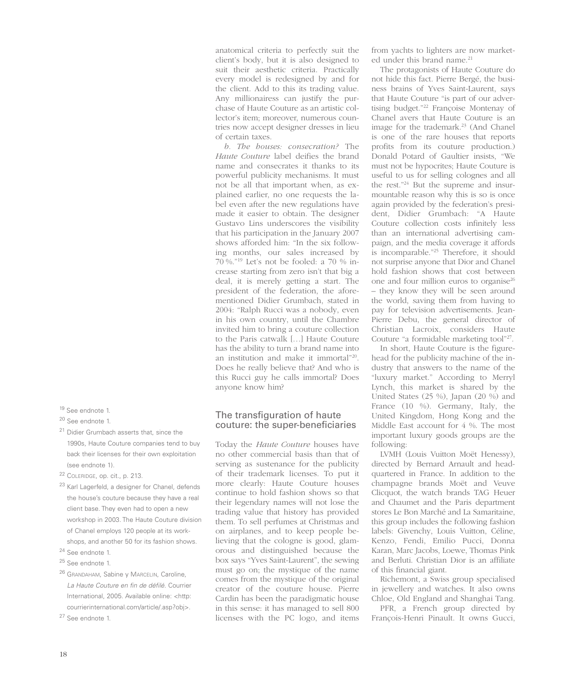<sup>19</sup> See endnote 1.

- <sup>20</sup> See endnote 1.
- <sup>21</sup> Didier Grumbach asserts that, since the 1990s, Haute Couture companies tend to buy back their licenses for their own exploitation (see endnote 1).
- <sup>22</sup> COLERIDGE, op. cit., p. 213.
- <sup>23</sup> Karl Lagerfeld, a designer for Chanel, defends the house's couture because they have a real client base. They even had to open a new workshop in 2003. The Haute Couture division of Chanel employs 120 people at its workshops, and another 50 for its fashion shows.
- <sup>24</sup> See endnote 1.
- <sup>25</sup> See endnote 1.
- <sup>26</sup> GRANDAHAM, Sabine y MARCELIN, Caroline, La Haute Couture en fin de défilé. Courrier International, 2005. Available online: <http: courrierinternational.com/article/.asp?obj>.
- <sup>27</sup> See endnote 1.

anatomical criteria to perfectly suit the client's body, but it is also designed to suit their aesthetic criteria. Practically every model is redesigned by and for the client. Add to this its trading value. Any millionairess can justify the purchase of Haute Couture as an artistic collector's item; moreover, numerous countries now accept designer dresses in lieu of certain taxes.

*b. The houses: consecration?* The *Haute Couture* label deifies the brand name and consecrates it thanks to its powerful publicity mechanisms. It must not be all that important when, as explained earlier, no one requests the label even after the new regulations have made it easier to obtain. The designer Gustavo Lins underscores the visibility that his participation in the January 2007 shows afforded him: "In the six following months, our sales increased by 70 %."19 Let's not be fooled: a 70 % increase starting from zero isn't that big a deal, it is merely getting a start. The president of the federation, the aforementioned Didier Grumbach, stated in 2004: "Ralph Rucci was a nobody, even in his own country, until the Chambre invited him to bring a couture collection to the Paris catwalk […] Haute Couture has the ability to turn a brand name into an institution and make it immortal"20. Does he really believe that? And who is this Rucci guy he calls immortal? Does anyone know him?

### The transfiguration of haute couture: the super-beneficiaries

Today the *Haute Couture* houses have no other commercial basis than that of serving as sustenance for the publicity of their trademark licenses. To put it more clearly: Haute Couture houses continue to hold fashion shows so that their legendary names will not lose the trading value that history has provided them. To sell perfumes at Christmas and on airplanes, and to keep people believing that the cologne is good, glamorous and distinguished because the box says "Yves Saint-Laurent", the sewing must go on; the mystique of the name comes from the mystique of the original creator of the couture house. Pierre Cardin has been the paradigmatic house in this sense: it has managed to sell 800 licenses with the PC logo, and items

from yachts to lighters are now marketed under this brand name.<sup>21</sup>

The protagonists of Haute Couture do not hide this fact. Pierre Bergé, the business brains of Yves Saint-Laurent, says that Haute Couture "is part of our advertising budget."22 Françoise Montenay of Chanel avers that Haute Couture is an image for the trademark.<sup>23</sup> (And Chanel is one of the rare houses that reports profits from its couture production.) Donald Potard of Gaultier insists, "We must not be hypocrites; Haute Couture is useful to us for selling colognes and all the rest."24 But the supreme and insurmountable reason why this is so is once again provided by the federation's president, Didier Grumbach: "A Haute Couture collection costs infinitely less than an international advertising campaign, and the media coverage it affords is incomparable."25 Therefore, it should not surprise anyone that Dior and Chanel hold fashion shows that cost between one and four million euros to organise<sup>26</sup> – they know they will be seen around the world, saving them from having to pay for television advertisements. Jean-Pierre Debu, the general director of Christian Lacroix, considers Haute Couture "a formidable marketing tool"<sup>27</sup>.

In short, Haute Couture is the figurehead for the publicity machine of the industry that answers to the name of the "luxury market." According to Merryl Lynch, this market is shared by the United States (25 %), Japan (20 %) and France (10 %). Germany, Italy, the United Kingdom, Hong Kong and the Middle East account for 4 %. The most important luxury goods groups are the following:

LVMH (Louis Vuitton Moët Henessy), directed by Bernard Arnault and headquartered in France. In addition to the champagne brands Moët and Veuve Clicquot, the watch brands TAG Heuer and Chaumet and the Paris department stores Le Bon Marché and La Samaritaine, this group includes the following fashion labels: Givenchy, Louis Vuitton, Céline, Kenzo, Fendi, Emilio Pucci, Donna Karan, Marc Jacobs, Loewe, Thomas Pink and Berluti. Christian Dior is an affiliate of this financial giant.

Richemont, a Swiss group specialised in jewellery and watches. It also owns Chloe, Old England and Shanghai Tang.

PFR, a French group directed by François-Henri Pinault. It owns Gucci,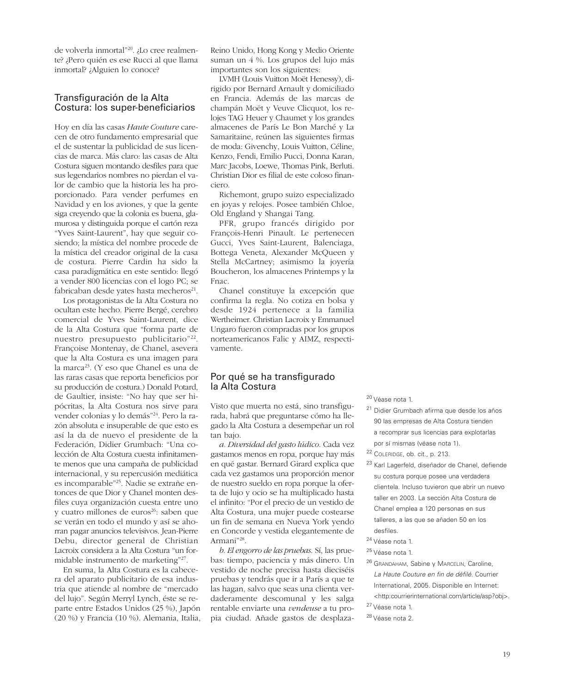de volverla inmortal"20. ¿Lo cree realmente? ¿Pero quién es ese Rucci al que llama inmortal? ¿Alguien lo conoce?

#### Transfiguración de la Alta Costura: los super-beneficiarios

Hoy en día las casas *Haute Couture* carecen de otro fundamento empresarial que el de sustentar la publicidad de sus licencias de marca. Más claro: las casas de Alta Costura siguen montando desfiles para que sus legendarios nombres no pierdan el valor de cambio que la historia les ha proporcionado. Para vender perfumes en Navidad y en los aviones, y que la gente siga creyendo que la colonia es buena, glamurosa y distinguida porque el cartón reza "Yves Saint-Laurent", hay que seguir cosiendo; la mística del nombre procede de la mística del creador original de la casa de costura. Pierre Cardin ha sido la casa paradigmática en este sentido: llegó a vender 800 licencias con el logo PC; se fabricaban desde yates hasta mecheros<sup>21</sup>.

Los protagonistas de la Alta Costura no ocultan este hecho. Pierre Bergé, cerebro comercial de Yves Saint-Laurent, dice de la Alta Costura que "forma parte de nuestro presupuesto publicitario"22. Françoise Montenay, de Chanel, asevera que la Alta Costura es una imagen para la marca<sup>23</sup>. (Y eso que Chanel es una de las raras casas que reporta beneficios por su producción de costura.) Donald Potard, de Gaultier, insiste: "No hay que ser hipócritas, la Alta Costura nos sirve para vender colonias y lo demás"24. Pero la razón absoluta e insuperable de que esto es así la da de nuevo el presidente de la Federación, Didier Grumbach: "Una colección de Alta Costura cuesta infinitamente menos que una campaña de publicidad internacional, y su repercusión mediática es incomparable"25. Nadie se extrañe entonces de que Dior y Chanel monten desfiles cuya organización cuesta entre uno y cuatro millones de euros<sup>26</sup>: saben que se verán en todo el mundo y así se ahorran pagar anuncios televisivos. Jean-Pierre Debu, director general de Christian Lacroix considera a la Alta Costura "un formidable instrumento de marketing"27.

En suma, la Alta Costura es la cabecera del aparato publicitario de esa industria que atiende al nombre de "mercado del lujo". Según Merryl Lynch, éste se reparte entre Estados Unidos (25 %), Japón (20 %) y Francia (10 %). Alemania, Italia,

Reino Unido, Hong Kong y Medio Oriente suman un 4 %. Los grupos del lujo más importantes son los siguientes:

LVMH (Louis Vuitton Moët Henessy), dirigido por Bernard Arnault y domiciliado en Francia. Además de las marcas de champán Moët y Veuve Clicquot, los relojes TAG Heuer y Chaumet y los grandes almacenes de París Le Bon Marché y La Samaritaine, reúnen las siguientes firmas de moda: Givenchy, Louis Vuitton, Céline, Kenzo, Fendi, Emilio Pucci, Donna Karan, Marc Jacobs, Loewe, Thomas Pink, Berluti. Christian Dior es filial de este coloso financiero.

Richemont, grupo suizo especializado en joyas y relojes. Posee también Chloe, Old England y Shangai Tang.

PFR, grupo francés dirigido por François-Henri Pinault. Le pertenecen Gucci, Yves Saint-Laurent, Balenciaga, Bottega Veneta, Alexander McQueen y Stella McCartney; asimismo la joyería Boucheron, los almacenes Printemps y la Fnac.

Chanel constituye la excepción que confirma la regla. No cotiza en bolsa y desde 1924 pertenece a la familia Wertheimer. Christian Lacroix y Emmanuel Ungaro fueron compradas por los grupos norteamericanos Falic y AIMZ, respectivamente.

#### Por qué se ha transfigurado la Alta Costura

Visto que muerta no está, sino transfigurada, habrá que preguntarse cómo ha llegado la Alta Costura a desempeñar un rol tan bajo.

*a. Diversidad del gasto lúdico*. Cada vez gastamos menos en ropa, porque hay más en qué gastar. Bernard Girard explica que cada vez gastamos una proporción menor de nuestro sueldo en ropa porque la oferta de lujo y ocio se ha multiplicado hasta el infinito: "Por el precio de un vestido de Alta Costura, una mujer puede costearse un fin de semana en Nueva York yendo en Concorde y vestida elegantemente de Armani"28.

*b. El engorro de las pruebas*. Sí, las pruebas: tiempo, paciencia y más dinero. Un vestido de noche precisa hasta dieciséis pruebas y tendrás que ir a París a que te las hagan, salvo que seas una clienta verdaderamente descomunal y les salga rentable enviarte una *vendeuse* a tu propia ciudad. Añade gastos de desplaza<sup>20</sup> Véase nota 1.

- <sup>21</sup> Didier Grumbach afirma que desde los años 90 las empresas de Alta Costura tienden a recomprar sus licencias para explotarlas por sí mismas (véase nota 1).
- <sup>22</sup> COLERIDGE, ob. cit., p. 213.
- <sup>23</sup> Karl Lagerfeld, diseñador de Chanel, defiende su costura porque posee una verdadera clientela. Incluso tuvieron que abrir un nuevo taller en 2003. La sección Alta Costura de Chanel emplea a 120 personas en sus talleres, a las que se añaden 50 en los desfiles.
- <sup>24</sup> Véase nota 1.
- <sup>25</sup> Véase nota 1.
- <sup>26</sup> GRANDAHAM, Sabine y MARCELIN, Caroline, La Haute Couture en fin de défilé. Courrier International, 2005. Disponible en Internet:
- <http:courrierinternational.com/article/asp?obj>. <sup>27</sup> Véase nota 1.
- <sup>28</sup> Véase nota 2.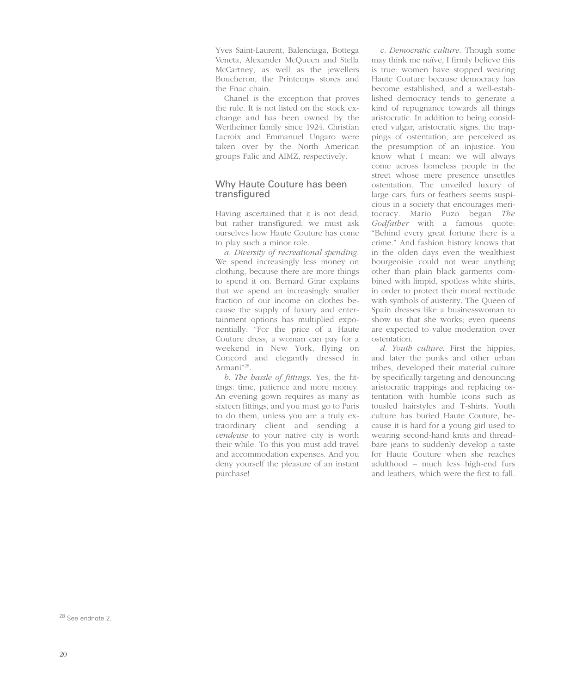Yves Saint-Laurent, Balenciaga, Bottega Veneta, Alexander McQueen and Stella McCartney, as well as the jewellers Boucheron, the Printemps stores and the Fnac chain.

Chanel is the exception that proves the rule. It is not listed on the stock exchange and has been owned by the Wertheimer family since 1924. Christian Lacroix and Emmanuel Ungaro were taken over by the North American groups Falic and AIMZ, respectively.

#### Why Haute Couture has been transfigured

Having ascertained that it is not dead, but rather transfigured, we must ask ourselves how Haute Couture has come to play such a minor role.

*a. Diversity of recreational spending*. We spend increasingly less money on clothing, because there are more things to spend it on. Bernard Girar explains that we spend an increasingly smaller fraction of our income on clothes because the supply of luxury and entertainment options has multiplied exponentially: "For the price of a Haute Couture dress, a woman can pay for a weekend in New York, flying on Concord and elegantly dressed in Armani"28.

*b. The hassle of fittings*. Yes, the fittings: time, patience and more money. An evening gown requires as many as sixteen fittings, and you must go to Paris to do them, unless you are a truly extraordinary client and sending a *vendeuse* to your native city is worth their while. To this you must add travel and accommodation expenses. And you deny yourself the pleasure of an instant purchase!

*c. Democratic culture*. Though some may think me naïve, I firmly believe this is true: women have stopped wearing Haute Couture because democracy has become established, and a well-established democracy tends to generate a kind of repugnance towards all things aristocratic. In addition to being considered vulgar, aristocratic signs, the trappings of ostentation, are perceived as the presumption of an injustice. You know what I mean: we will always come across homeless people in the street whose mere presence unsettles ostentation. The unveiled luxury of large cars, furs or feathers seems suspicious in a society that encourages meritocracy. Mario Puzo began *The Godfather* with a famous quote: "Behind every great fortune there is a crime." And fashion history knows that in the olden days even the wealthiest bourgeoisie could not wear anything other than plain black garments combined with limpid, spotless white shirts, in order to protect their moral rectitude with symbols of austerity. The Queen of Spain dresses like a businesswoman to show us that she works: even queens are expected to value moderation over ostentation.

*d. Youth culture*. First the hippies, and later the punks and other urban tribes, developed their material culture by specifically targeting and denouncing aristocratic trappings and replacing ostentation with humble icons such as tousled hairstyles and T-shirts. Youth culture has buried Haute Couture, because it is hard for a young girl used to wearing second-hand knits and threadbare jeans to suddenly develop a taste for Haute Couture when she reaches adulthood – much less high-end furs and leathers, which were the first to fall.

<sup>28</sup> See endnote 2.